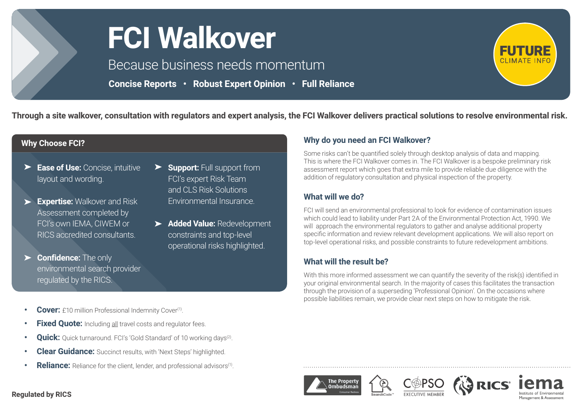

# **FCI Walkover**

Because business needs momentum

**Concise Reports • Robust Expert Opinion • Full Reliance** 



**Through a site walkover, consultation with regulators and expert analysis, the FCI Walkover delivers practical solutions to resolve environmental risk.**

### **Why Choose FCI?**

- **Ease of Use:** Concise, intuitive layout and wording.
- **Expertise:** Walkover and Risk Assessment completed by FCI's own IEMA, CIWEM or RICS accredited consultants.
- **Confidence:** The only  $\blacktriangleright$ environmental search provider regulated by the RICS.
- **Support: Full support from** FCI's expert Risk Team and CLS Risk Solutions Environmental Insurance.
- **Added Value:** Redevelopment constraints and top-level operational risks highlighted.

### **Why do you need an FCI Walkover?**

Some risks can't be quantified solely through desktop analysis of data and mapping. This is where the FCI Walkover comes in. The FCI Walkover is a bespoke preliminary risk assessment report which goes that extra mile to provide reliable due diligence with the addition of regulatory consultation and physical inspection of the property.

#### **What will we do?**

FCI will send an environmental professional to look for evidence of contamination issues which could lead to liability under Part 2A of the Environmental Protection Act, 1990. We will approach the environmental regulators to gather and analyse additional property specific information and review relevant development applications. We will also report on top-level operational risks, and possible constraints to future redevelopment ambitions.

# **What will the result be?**

With this more informed assessment we can quantify the severity of the risk(s) identified in your original environmental search. In the majority of cases this facilitates the transaction through the provision of a superseding 'Professional Opinion'. On the occasions where possible liabilities remain, we provide clear next steps on how to mitigate the risk.

- **Cover:** £10 million Professional Indemnity Cover<sup>(1)</sup>.
- **• Fixed Quote:** Including all travel costs and regulator fees.
- **Quick:** Ouick turnaround. FCI's 'Gold Standard' of 10 working days<sup>(2)</sup>.
- **• Clear Guidance:** Succinct results, with 'Next Steps' highlighted.
- **Reliance:** Reliance for the client, lender, and professional advisors<sup>(1)</sup>.





#### **Regulated by RICS**